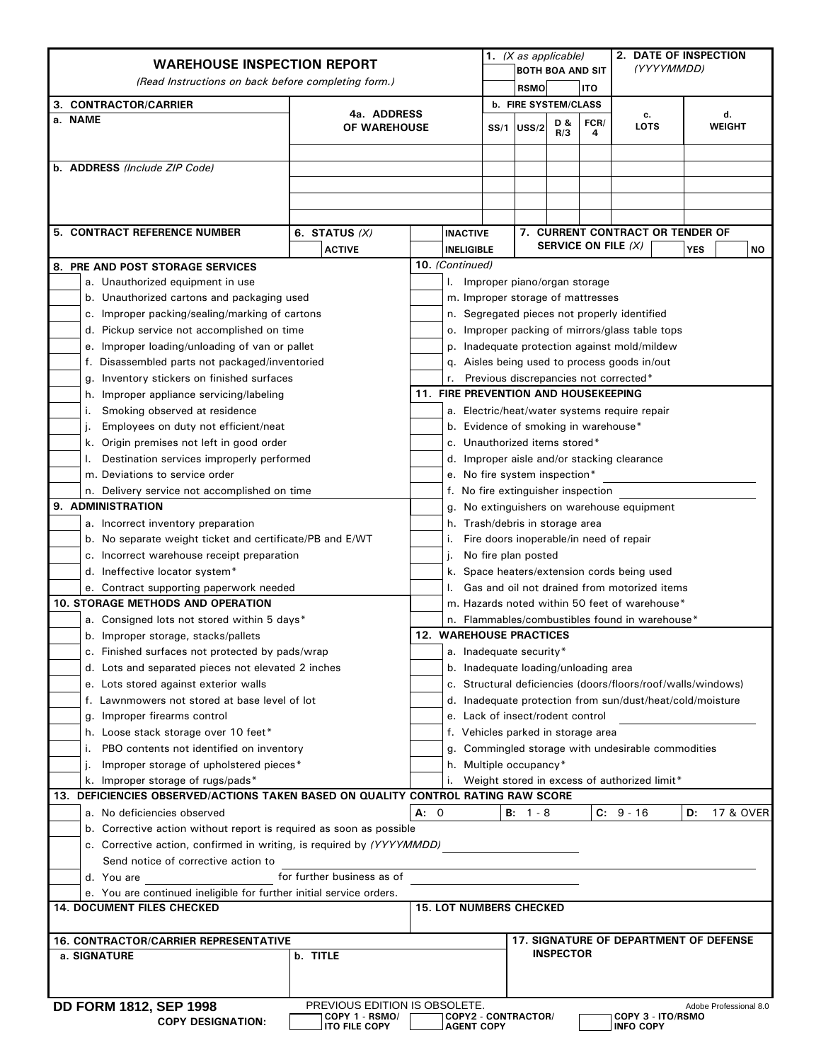| <b>WAREHOUSE INSPECTION REPORT</b>                                                               |                                 |      | 1. (X as applicable)                                                                         |                                                              |                             |            | 2. DATE OF INSPECTION |                                              |    |                        |  |
|--------------------------------------------------------------------------------------------------|---------------------------------|------|----------------------------------------------------------------------------------------------|--------------------------------------------------------------|-----------------------------|------------|-----------------------|----------------------------------------------|----|------------------------|--|
| (Read Instructions on back before completing form.)                                              |                                 |      | <b>BOTH BOA AND SIT</b>                                                                      |                                                              |                             |            | (YYYYMMDD)            |                                              |    |                        |  |
|                                                                                                  |                                 |      |                                                                                              |                                                              | <b>RSMO</b>                 |            | <b>ITO</b>            |                                              |    |                        |  |
| 3. CONTRACTOR/CARRIER                                                                            | 4a. ADDRESS                     |      |                                                                                              |                                                              | <b>b. FIRE SYSTEM/CLASS</b> |            |                       | с.                                           |    | d.                     |  |
| a. NAME<br>OF WAREHOUSE                                                                          |                                 |      |                                                                                              | SS/1                                                         | USS/2                       | D &<br>R/3 | FCR/<br>4             | <b>LOTS</b>                                  |    | <b>WEIGHT</b>          |  |
|                                                                                                  |                                 |      |                                                                                              |                                                              |                             |            |                       |                                              |    |                        |  |
| b. ADDRESS (Include ZIP Code)                                                                    |                                 |      |                                                                                              |                                                              |                             |            |                       |                                              |    |                        |  |
|                                                                                                  |                                 |      |                                                                                              |                                                              |                             |            |                       |                                              |    |                        |  |
|                                                                                                  |                                 |      |                                                                                              |                                                              |                             |            |                       |                                              |    |                        |  |
|                                                                                                  |                                 |      |                                                                                              |                                                              |                             |            |                       |                                              |    |                        |  |
| 5. CONTRACT REFERENCE NUMBER                                                                     | 6. STATUS $(X)$                 |      | <b>INACTIVE</b>                                                                              |                                                              |                             |            |                       | 7. CURRENT CONTRACT OR TENDER OF             |    |                        |  |
|                                                                                                  | <b>ACTIVE</b>                   |      |                                                                                              | SERVICE ON FILE (X)<br><b>YES</b><br><b>INELIGIBLE</b><br>ΝO |                             |            |                       |                                              |    |                        |  |
| 8. PRE AND POST STORAGE SERVICES                                                                 |                                 |      | 10. (Continued)                                                                              |                                                              |                             |            |                       |                                              |    |                        |  |
| a. Unauthorized equipment in use                                                                 |                                 |      | I. Improper piano/organ storage                                                              |                                                              |                             |            |                       |                                              |    |                        |  |
| b. Unauthorized cartons and packaging used                                                       |                                 |      | m. Improper storage of mattresses                                                            |                                                              |                             |            |                       |                                              |    |                        |  |
| c. Improper packing/sealing/marking of cartons                                                   |                                 |      | n. Segregated pieces not properly identified                                                 |                                                              |                             |            |                       |                                              |    |                        |  |
| d. Pickup service not accomplished on time                                                       |                                 |      | o. Improper packing of mirrors/glass table tops                                              |                                                              |                             |            |                       |                                              |    |                        |  |
| e. Improper loading/unloading of van or pallet<br>f. Disassembled parts not packaged/inventoried |                                 |      | p. Inadequate protection against mold/mildew<br>q. Aisles being used to process goods in/out |                                                              |                             |            |                       |                                              |    |                        |  |
| Inventory stickers on finished surfaces<br>g.                                                    |                                 |      | Previous discrepancies not corrected*                                                        |                                                              |                             |            |                       |                                              |    |                        |  |
| Improper appliance servicing/labeling<br>h.                                                      |                                 |      | <b>11. FIRE PREVENTION AND HOUSEKEEPING</b>                                                  |                                                              |                             |            |                       |                                              |    |                        |  |
| Smoking observed at residence<br>ι.                                                              |                                 |      | a. Electric/heat/water systems require repair                                                |                                                              |                             |            |                       |                                              |    |                        |  |
| Employees on duty not efficient/neat<br>ı.                                                       |                                 |      | b. Evidence of smoking in warehouse*                                                         |                                                              |                             |            |                       |                                              |    |                        |  |
| Origin premises not left in good order<br>k.                                                     |                                 |      | c. Unauthorized items stored*                                                                |                                                              |                             |            |                       |                                              |    |                        |  |
| Destination services improperly performed                                                        |                                 |      | d. Improper aisle and/or stacking clearance                                                  |                                                              |                             |            |                       |                                              |    |                        |  |
| m. Deviations to service order                                                                   |                                 |      | e. No fire system inspection*                                                                |                                                              |                             |            |                       |                                              |    |                        |  |
| n. Delivery service not accomplished on time                                                     |                                 |      | f. No fire extinguisher inspection                                                           |                                                              |                             |            |                       |                                              |    |                        |  |
| 9. ADMINISTRATION                                                                                |                                 |      | g. No extinguishers on warehouse equipment                                                   |                                                              |                             |            |                       |                                              |    |                        |  |
| a. Incorrect inventory preparation                                                               |                                 |      | h. Trash/debris in storage area                                                              |                                                              |                             |            |                       |                                              |    |                        |  |
| b. No separate weight ticket and certificate/PB and E/WT                                         |                                 |      |                                                                                              |                                                              |                             |            |                       | Fire doors inoperable/in need of repair      |    |                        |  |
| c. Incorrect warehouse receipt preparation                                                       |                                 |      | No fire plan posted                                                                          |                                                              |                             |            |                       |                                              |    |                        |  |
| d. Ineffective locator system*                                                                   |                                 |      | Space heaters/extension cords being used<br>k.                                               |                                                              |                             |            |                       |                                              |    |                        |  |
| e. Contract supporting paperwork needed                                                          |                                 |      | Gas and oil not drained from motorized items                                                 |                                                              |                             |            |                       |                                              |    |                        |  |
| <b>10. STORAGE METHODS AND OPERATION</b>                                                         |                                 |      | m. Hazards noted within 50 feet of warehouse*                                                |                                                              |                             |            |                       |                                              |    |                        |  |
| a. Consigned lots not stored within 5 days*                                                      |                                 |      | n. Flammables/combustibles found in warehouse*                                               |                                                              |                             |            |                       |                                              |    |                        |  |
| b. Improper storage, stacks/pallets                                                              |                                 |      | <b>12. WAREHOUSE PRACTICES</b>                                                               |                                                              |                             |            |                       |                                              |    |                        |  |
| c. Finished surfaces not protected by pads/wrap                                                  |                                 |      | a. Inadequate security*                                                                      |                                                              |                             |            |                       |                                              |    |                        |  |
| d. Lots and separated pieces not elevated 2 inches                                               |                                 |      | b. Inadequate loading/unloading area                                                         |                                                              |                             |            |                       |                                              |    |                        |  |
| e. Lots stored against exterior walls                                                            |                                 |      | c. Structural deficiencies (doors/floors/roof/walls/windows)                                 |                                                              |                             |            |                       |                                              |    |                        |  |
| f. Lawnmowers not stored at base level of lot                                                    |                                 |      | d. Inadequate protection from sun/dust/heat/cold/moisture                                    |                                                              |                             |            |                       |                                              |    |                        |  |
| g. Improper firearms control<br>h. Loose stack storage over 10 feet*                             |                                 |      | e. Lack of insect/rodent control                                                             |                                                              |                             |            |                       |                                              |    |                        |  |
| PBO contents not identified on inventory<br>i.                                                   |                                 |      | f. Vehicles parked in storage area<br>Commingled storage with undesirable commodities        |                                                              |                             |            |                       |                                              |    |                        |  |
| Improper storage of upholstered pieces*<br>J.                                                    |                                 |      | g.<br>h. Multiple occupancy*                                                                 |                                                              |                             |            |                       |                                              |    |                        |  |
| k. Improper storage of rugs/pads*                                                                |                                 |      | Weight stored in excess of authorized limit*                                                 |                                                              |                             |            |                       |                                              |    |                        |  |
| 13. DEFICIENCIES OBSERVED/ACTIONS TAKEN BASED ON QUALITY CONTROL RATING RAW SCORE                |                                 |      |                                                                                              |                                                              |                             |            |                       |                                              |    |                        |  |
| a. No deficiencies observed                                                                      |                                 | A: 0 |                                                                                              | В:                                                           | 1 - 8                       |            |                       | $C: 9 - 16$                                  | D: | 17 & OVER              |  |
| b. Corrective action without report is required as soon as possible                              |                                 |      |                                                                                              |                                                              |                             |            |                       |                                              |    |                        |  |
| c. Corrective action, confirmed in writing, is required by (YYYYMMDD)                            |                                 |      |                                                                                              |                                                              |                             |            |                       |                                              |    |                        |  |
| Send notice of corrective action to                                                              |                                 |      |                                                                                              |                                                              |                             |            |                       |                                              |    |                        |  |
| for further business as of<br>d. You are                                                         |                                 |      |                                                                                              |                                                              |                             |            |                       |                                              |    |                        |  |
| e. You are continued ineligible for further initial service orders.                              |                                 |      |                                                                                              |                                                              |                             |            |                       |                                              |    |                        |  |
| <b>14. DOCUMENT FILES CHECKED</b>                                                                |                                 |      | <b>15. LOT NUMBERS CHECKED</b>                                                               |                                                              |                             |            |                       |                                              |    |                        |  |
|                                                                                                  |                                 |      |                                                                                              |                                                              |                             |            |                       |                                              |    |                        |  |
| <b>16. CONTRACTOR/CARRIER REPRESENTATIVE</b><br>a. SIGNATURE<br>b. TITLE                         |                                 |      | <b>17. SIGNATURE OF DEPARTMENT OF DEFENSE</b><br><b>INSPECTOR</b>                            |                                                              |                             |            |                       |                                              |    |                        |  |
|                                                                                                  |                                 |      |                                                                                              |                                                              |                             |            |                       |                                              |    |                        |  |
|                                                                                                  |                                 |      |                                                                                              |                                                              |                             |            |                       |                                              |    |                        |  |
| <b>DD FORM 1812, SEP 1998</b>                                                                    | PREVIOUS EDITION IS OBSOLETE.   |      |                                                                                              |                                                              |                             |            |                       |                                              |    | Adobe Professional 8.0 |  |
| <b>COPY DESIGNATION:</b>                                                                         | COPY 1 - RSMO/<br>ITO FILE COPY |      | COPY2 - CONTRACTOR/<br><b>AGENT COPY</b>                                                     |                                                              |                             |            |                       | <b>COPY 3 - ITO/RSMO</b><br><b>INFO COPY</b> |    |                        |  |